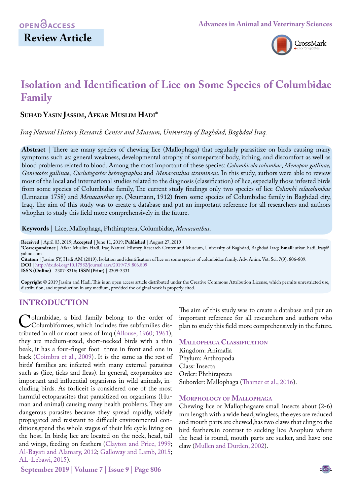## **Review Article**



# **Isolation and Identification of Lice on Some Species of Columbidae Family**

## **Suhad Yasin Jassim, Afkar Muslim Hadi\***

*Iraq Natural History Research Center and Museum, University of Baghdad, Baghdad Iraq.*

**Abstract** | There are many species of chewing lice (Mallophaga) that regularly parasitize on birds causing many symptoms such as: general weakness, developmental atrophy of somepartsof body, itching, and discomfort as well as blood problems related to blood. Among the most important of these species: *Columbicola columbae*, *Menopon gallinae, Goniocotes gallinae*, *Cuclutogaster heterographus* and *Menacanthus stramineus*. In this study, authors were able to review most of the local and international studies related to the diagnosis (classification) of lice, especially those infested birds from some species of Columbidae family, The current study findings only two species of lice *Columbi colacolumbae*  (Linnaeus 1758) and *Menacanthus* sp. (Neumann, 1912) from some species of Columbidae family in Baghdad city, Iraq. The aim of this study was to create a database and put an important reference for all researchers and authors whoplan to study this field more comprehensively in the future.

**Keywords** | Lice, Mallophaga, Phthiraptera, Columbidae, *Menacanthus*.

**Received** | April 03, 2019; **Accepted** | June 11, 2019; **Published** | August 27, 2019

**\*Correspondence** | Afkar Muslim Hadi, Iraq Natural History Research Center and Museum, University of Baghdad, Baghdad Iraq; **Email**: afkar\_hadi\_iraq@ yahoo.com

**Citation** | Jassim SY, Hadi AM (2019). Isolation and identification of lice on some species of columbidae family. Adv. Anim. Vet. Sci. 7(9): 806-809. **DOI** | [http://dx.doi.org/10.17582/journal.aavs/2019](http://dx.doi.org/10.17582/journal.aavs/2019/7.9.806.809)/7.9.806.809

**ISSN (Online)** | 2307-8316; **ISSN (Print)** | 2309-3331

**Copyright** © 2019 Jassim and Hadi. This is an open access article distributed under the Creative Commons Attribution License, which permits unrestricted use, distribution, and reproduction in any medium, provided the original work is properly cited.

### **Introduction**

Columbidae, a bird family belong to the order of<br>Columbiformes, which includes five subfamilies dis-<br>tributed in all or most areas of Iraq (Allouse, 1960; 1961). tributed in all or most areas of Iraq (Allouse, 1960; 1961), they are medium-sized, short-necked birds with a thin beak, it has a four-finger foot three in front and one in back [\(Coimbra et al., 2009\)](#page-3-0). It is the same as the rest of birds' families are infected with many external parasites such as (lice, ticks and fleas). In general, exoparasites are important and influential organisms in wild animals, including birds. As forliceit is considered one of the most harmful ectoparasites that parasitized on organisms (Human and animal) causing many health problems. They are dangerous parasites because they spread rapidly, widely propagated and resistant to difficult environmental conditions,spend the whole stages of their life cycle living on the host. In birds; lice are located on the neck, head, tail and wings, feeding on feathers (Clayton and Price, 1999; [Al-Bayati and Alamary, 2012;](#page-2-2) [Galloway and Lamb, 2015;](#page-3-1) [AL-Lebawi, 2015\)](#page-2-3).

The aim of this study was to create a database and put an important reference for all researchers and authors who plan to study this field more comprehensively in the future.

#### **Mallophaga Classification**

Kingdom: Animalia Phylum: Arthropoda Class: Insecta Order: Phthiraptera Suborder: Mallophaga [\(Thamer et al., 2016](#page-3-2)).

#### **Morphology of Mallophaga**

Chewing lice or Mallophagaare small insects about (2-6) mm length with a wide head, wingless, the eyes are reduced and mouth parts are chewed,has two claws that cling to the bird feathers,in contrast to sucking lice Anoplura where the head is round, mouth parts are sucker, and have one claw (Mullen and Durden, 2002).

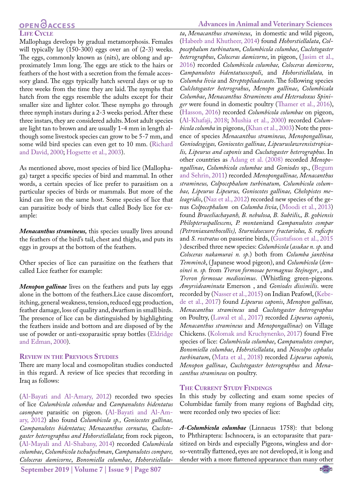# **OPENOACCESS**

#### **LIFE CYCLE**

Mallophaga develops by gradual metamorphosis. Females will typically lay (150-300) eggs over an of (2-3) weeks. The eggs, commonly known as (nits), are oblong and approximately 1mm long. The eggs are stick to the hairs or feathers of the host with a secretion from the female accessory gland. The eggs typically hatch several days or up to three weeks from the time they are laid. The nymphs that hatch from the eggs resemble the adults except for their smaller size and lighter color. These nymphs go through three nymph instars during a 2-3 weeks period. After these three instars, they are considered adults. Most adult species are light tan to brown and are usually 1-4 mm in length although some livestock species can grow to be 5-7 mm, and some wild bird species can even get to 10 mm. [\(Richard](#page-3-3) [and David, 2000](#page-3-3); [Hogsette et al., 2003](#page-3-4)).

As mentioned above, most species of bird lice (Mallophaga) target a specific species of bird and mammal. In other words, a certain species of lice prefer to parasitism on a particular species of birds or mammals. But more of the kind can live on the same host. Some species of lice that can parasitize body of birds that called Body lice for example:

*Menacanthus stramineus,* this species usually lives around the feathers of the bird's tail, chest and thighs, and puts its eggs in groups at the bottom of the feathers.

Other species of lice can parasitize on the feathers that called Lice feather for example:

*Menopon gallinae* lives on the feathers and puts lay eggs alone in the bottom of the feathers.Lice cause discomfort, itching, general weakness, tension, reduced egg production, feather damage, loss of quality and, dwarfism in small birds. The presence of lice can be distinguished by highlighting the feathers inside and bottom and are disposed of by the use of powder or anti-exoparasitic spray bottles ([Eldridge](#page-3-5) [and Edman, 2000](#page-3-5)).

#### **Review in the Previous Studies**

There are many local and cosmopolitan studies conducted in this regard. A review of lice species that recording in Iraq as follows:

[\(Al-Bayati and Al-Amary, 2012](#page-2-2)) recorded two species of lice *Columbicola columbae* and *Campanulotes bidentatus caompar*e parasitic on pigeon. ([Al-Bayati and Al-Am](#page-2-2)[ary, 2012\)](#page-2-2) also found *Columbicola sp., Goniocotes gallinae, Campanulotes bidentatus; Menacanthus cornutus, Cuclotogaster heterographus and Hohorstiellalata*; from rock pigeon, [\(Al-Mayali and Al-Shabany, 2014](#page-2-4)) recorded *Columbicola columbae*, *Columbicola tschulyschman*, *Campanulotes compare, Coloceras damicorne*, *Bonomiella columbae*, *Hohorstiellala-*

**September 2019 | Volume 7 | Issue 9 | Page 807**

#### **Advances in Animal and Veterinary Sciences**

*ta*, *Menacanthus stramineus*, in domestic and wild pigeon, [\(Habeeb and Khutheer, 2014\)](#page-3-6) found *Hohorstiellalata*, *Colpocephalum turbinatum*, *Columbicola columbae*, *Cuclotogaster heterographus*, *Coloceras damicorne*, in pigeon, ([Jasim et al.,](#page-3-7)  [2016\)](#page-3-7) recorded *Columbicola columbae, Coloceras damicorne*, *Campanulotes bidentatusscopoli*, and *Hohorstiellalata,* in *Columba livia* and *Streptopliadecaoto*. The following species *Culclotogaster heterograhus*, *Menopn gallinae*, *Columbicala Columbae*, *Menacanthus Straminens and Heterodoxus Spiniger* were found in domestic poultry [\(Thamer et al., 2016](#page-3-2)), [\(Hasson, 2016](#page-3-8)) recorded *Columbicola columbae* on pigeon, [\(Al-Khafaji, 2018](#page-2-5)[; Mushia et al., 2000\)](#page-3-9) recorded *Columbicola columba* in pigeons, ([Khan et al., 2003\)](#page-3-10) Note the presence of species *Menacanthus stramineus, Menopongallinae, Goniodesgigas, Goniocotes gallinae, Lipeuruslawrensistropicalis, Lipeurus and caponis* and *Cuclutogaster heterographus*. In other countries as [Adang et al. \(2008\)](#page-2-6) recorded *Menopongallinae*, *Columbicola columbae* and *Goniodes* sp., [\(Begum](#page-2-7)  [and Sehrin, 2011](#page-2-7)) recorded *Menopongallinae, Menacanthus stramineus, Colpocephalum turbinatum, Columbicola columbae, Lipeurus Lipeurus, Goniocotes gallinae, Chelopistes meleagridis*, [\(Naz et al., 2012](#page-3-11)) recorded new species of the genus *Colpocephalum* on *Columba livia*, ([Moodi et al., 2013](#page-3-12)) found *Brueeliachayanh, B. nebulosa, B. Subtilis,, B. gobiensis Philopteruspallescens, P. montani*and *Campanulotes compar (Petroniaxanthocollis), Sturnidoecusre fractariolus, S. ruficeps*  and *S. rostratus* on passerine birds, [\(Gustafsson et al., 2015](#page-3-13)  ) described three new species: *Columbicola* (*asukae n. sp*. and *Coloceras nakamurai n. sp*.) both from *Columba janthina Temminck*, ( Japanese wood pigeon), and *Columbicola* (*lemoinei n. sp.* from *Treron formosae permagnus Stejneger*, , and *Treron formosae medioximus*. (Whistling green-pigeons*. Amyrsideaminuta* Emerson , and *Goniodes dissimilis*. were recorded by [\(Nasser et al., 2015](#page-3-14)) on Indian Peafowl, ([Kebe](#page-3-15)[de et al., 2017](#page-3-15)) found *Lipeurus caponis*, *Menopon gallinae, Menacanthus stramineus* and *Cuclotogaster heterographus* on Poultry, [\(Lawal et al., 2017](#page-3-16)) recorded *Lipeurus caponis*, *Menacanthus stramineus* and *Menopongallinae*) on Village Chickens. [\(Kolomak and Kruchynenko, 2017](#page-3-17)) found Five species of lice: *Columbicola columbae*, *Campanulotes compar*, *Bonomiella columbae*, *Hohrstiellalata*, and *Neocolpo cephalus turbinatum*, [\(Mata et al., 2018\)](#page-3-18) recorded *Lipeurus caponis, Menopon gallinae*, *Cuclotogaster heterographus* and *Menacanthus stramineus* on poultry.

#### **The Current Study Findings**

In this study by collecting and exam some species of Columbidae family from many regions of Baghdad city, were recorded only two species of lice:

*A-Columbicola columbae* (Linnaeus 1758): that belong to Phthiraptera: Ischnocera, is an ectoparasite that parasitized on birds and especially Pigeons, wingless and dorso-ventrally flattened, eyes are not developed, it is long and slender with a more flattened appearance than many other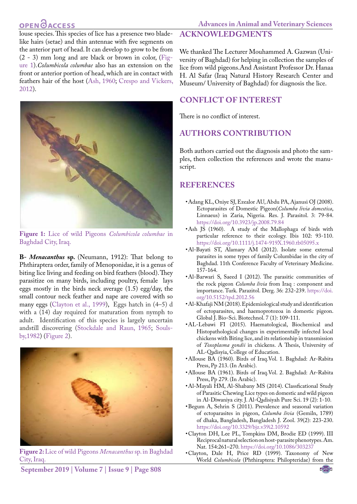## **OPEN**OACCESS

**Advances in Animal and Veterinary Sciences**

louse species. This species of lice has a presence two bladelike hairs (setae) and thin antennae with five segments on the anterior part of head. It can develop to grow to be from (2 - 3) mm long and are black or brown in color, ([Fig](#page-2-8)[ure 1\)](#page-2-8).*Columbicola columbae* also has an extension on the front or anterior portion of head, which are in contact with feathers hair of the host ([Ash, 1960](#page-2-9); Crespo and Vickers, 2012).



**Figure 1:** Lice of wild Pigeons *Columbicola columbae* in Baghdad City, Iraq.

<span id="page-2-8"></span>**B-** *Menacanthus* **sp.** (Neumann, 1912): That belong to Phthiraptera order, family of Menoponidae, it is a genus of biting lice living and feeding on bird feathers (blood). They parasitize on many birds, including poultry, female lays eggs mostly in the birds neck average (1.5) egg/day, the small contour neck feather and nape are covered with so many eggs ([Clayton et al., 1999\)](#page-2-10), Eggs hatch in (4–5) d with a (14) day required for maturation from nymph to adult. Identification of this species is largely uncertain andstill discovering (Stockdale and Raun, 1965; [Souls](#page-3-19)[by,1982](#page-3-19)) [\(Figure 2\)](#page-2-11).



**Figure 2:** Lice of wild Pigeons *Menacanthus* sp. in Baghdad City, Iraq.

## **Acknowledgments**

We thanked The Lecturer Mouhammed A. Gazwan (University of Baghdad) for helping in collection the samples of lice from wild pigeons.And Assistant Professor Dr. Hanaa H. Al Safar (Iraq Natural History Research Center and Museum/ University of Baghdad) for diagnosis the lice.

## **Conflict of Interest**

There is no conflict of interest.

## **Authors Contribution**

Both authors carried out the diagnosis and photo the samples, then collection the references and wrote the manuscript.

## **References**

- <span id="page-2-6"></span>• Adang KL, Oniye SJ, Ezealor AU, Abdu PA, Ajanusi OJ (2008). Ectoparasites of Domestic Pigeon(*Columba livia domestica*, Linnaeus) in Zaria, Nigeria. Res. J. Parasitol. 3: 79-84. <https://doi.org/10.3923/jp.2008.79.84>
- <span id="page-2-9"></span>• Ash JS (1960). A study of the Mallophaga of birds with particular reference to their ecology. Ibis 102: 93-110. [https://doi.org/10.1111/j.1474-919X.1960.tb05095.x](https://doi.org/10.1111/j.1474-919X.1960.tb05095.x )
- <span id="page-2-2"></span>• Al-Bayati ST, Alamary AM (2012). Isolate some external parasites in some types of family Columbidae in the city of Baghdad. 11th Conference Faculty of Veterinary Medicine. 157-164.
- • Al-Barwari S, Saeed I (2012). The parasitic communities of the rock pigeon *Columba livia* from Iraq : component and importance. Turk. Parazitol. Derg. 36: 232-239. [https://doi.](https://doi.org/10.5152/tpd.2012.56 ) [org/10.5152/tpd.2012.56](https://doi.org/10.5152/tpd.2012.56 )
- <span id="page-2-5"></span>• Al-Khafaji NM (2018). Epidemiological study and identification of ectoparasites, and haemoprotozoa in domestic pigeon. Global J. Bio-Sci. Biotechnol. 7 (1): 109-111.
- <span id="page-2-3"></span>• AL-Lebawi FI (2015). Haematological, Biochemical and Histopathological changes in experimentally infected local chickens with Biting lice, and its relationship in transmission of *Toxoplasma gondii* in chickens. A Thesis, University of AL-Qadisyia, College of Education.
- <span id="page-2-0"></span>• Allouse BA (1960). Birds of Iraq. Vol. 1. Baghdad: Ar-Rabita Press, Pp 213. (In Arabic).
- <span id="page-2-1"></span>• Allouse BA (1961). Birds of Iraq. Vol. 2. Baghdad: Ar-Rabita Press, Pp 279. (In Arabic).
- <span id="page-2-4"></span>• Al-Mayali HM, Al-Shabany MS (2014). Classficational Study of Parasitic Chewing Lice types on domestic and wild pigeon in Al-Diwaniya city. J. Al-Qadisiyah Pure Sci. 19 (2): 1-10.
- <span id="page-2-7"></span>• Begum A, Sehrin S (2011). Prevalence and seasonal variation of ectoparasites in pigeon, *Columba livia* (Gemiln, 1789) of dhaka, Bangladesh, Bangladesh J. Zool. 39(2): 223-230. <https://doi.org/10.3329/bjz.v39i2.10592>
- <span id="page-2-10"></span>• Clayton DH, Lee PL, Tompkins DM, Brodie ED (1999). III Reciprocal natural selection on host-parasite phenotypes. Am. Nat. 154:261–270.<https://doi.org/10.1086/303237>
- • Clayton, Dale H, Price RD (1999). Taxonomy of New World *Columbicola* (Phthiraptera: Philopteridae) from the

<span id="page-2-11"></span>**September 2019 | Volume 7 | Issue 9 | Page 808**